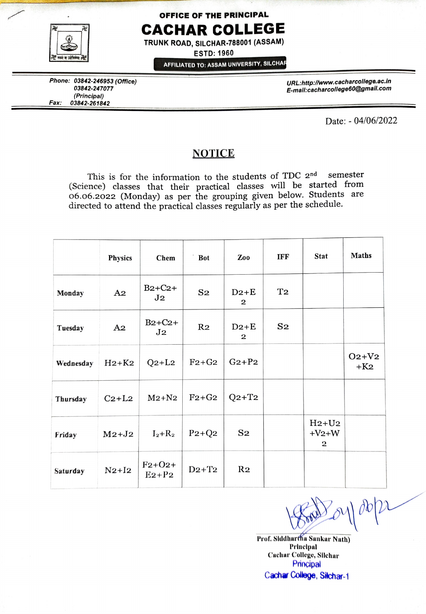

## OFFICE OF THE PRINCIPAL CACHAR COLLEGE

TRUNK ROAD, SILCHAR-788001 (ASSAM)

ESTD: 1960

AFFILIATED TO: ASSAM UNIVERSITY, SILCHAR

Phone: 03842-246953 (Office) URL:http://www.cacharcollege.ac.in 03842-247077 E-mall:cacharcollege60@gmail.com Fax: 03842-261842

Date: - 04/06/2022

## NOTICE

This is for the information to the students of TDC 2<sup>nd</sup> (Science) classes that their practical classes will be started from 06.06.2022 (Monday) as per the grouping given below. Students are directed to attend the practical classes regularly as per the schedule. semester

|           | Physics                       | Chem                        | <b>Bot</b>     | Zoo                    | <b>IFF</b>     | <b>Stat</b>                       | <b>Maths</b>       |  |
|-----------|-------------------------------|-----------------------------|----------------|------------------------|----------------|-----------------------------------|--------------------|--|
| Monday    | A <sub>2</sub>                | $B2+C2+$<br>J <sub>2</sub>  | S <sub>2</sub> | $D2+E$<br>$\mathbf{2}$ | T <sub>2</sub> |                                   |                    |  |
| Tuesday   | A <sub>2</sub>                | $B2+C2+$<br>J <sub>2</sub>  | R <sub>2</sub> | $D2+E$<br>$\mathbf{2}$ | S <sub>2</sub> |                                   |                    |  |
| Wednesday | $H_2+K_2$                     | $Q_2+L_2$                   | $F2+G2$        | $G_2+P_2$              |                |                                   | $O_2+V_2$<br>$+K2$ |  |
| Thursday  | $C_2+L_2$                     | $M2+N2$                     | $F2+G2$        | $Q2+T2$                |                |                                   |                    |  |
| Friday    | $M2+J2$                       | $I_2+R_2$                   | $P_2+Q_2$      | $S_{2}$                |                | $H2+U2$<br>$+V2+W$<br>$\mathbf 2$ |                    |  |
| Saturday  | $N2+I2$                       | $F_{2}+O_{2}+$<br>$E_2+P_2$ | $D2+T2$        | R <sub>2</sub>         |                |                                   |                    |  |
|           |                               |                             |                |                        |                |                                   | $P_{0}(\rho b)$    |  |
|           | Prof. Siddhartha Sankar Nath) |                             |                |                        |                |                                   |                    |  |

Prof. Slddhartha Sankar Nath) Cachar College, Silchar Principal Cachar Collage, Sitchar-1